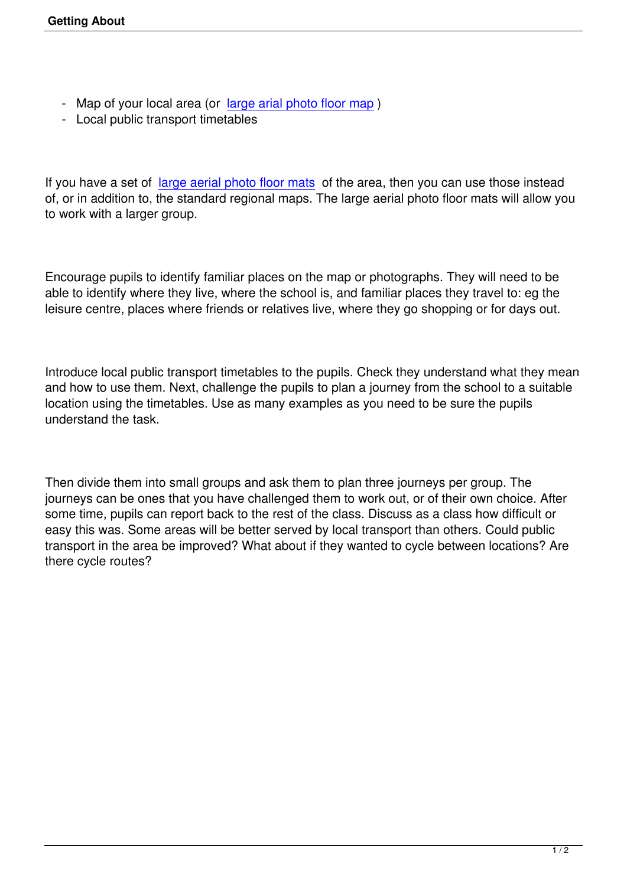- Map of your local area (or large arial photo floor map)
- Local public transport timetables

If you have a set of large aerial photo floor mats of the area, then you can use those instead of, or in addition to, the standard regional maps. The large aerial photo floor mats will allow you to work with a larger group.

Encourage pupils to identify familiar places on the map or photographs. They will need to be able to identify where they live, where the school is, and familiar places they travel to: eg the leisure centre, places where friends or relatives live, where they go shopping or for days out.

Introduce local public transport timetables to the pupils. Check they understand what they mean and how to use them. Next, challenge the pupils to plan a journey from the school to a suitable location using the timetables. Use as many examples as you need to be sure the pupils understand the task.

Then divide them into small groups and ask them to plan three journeys per group. The journeys can be ones that you have challenged them to work out, or of their own choice. After some time, pupils can report back to the rest of the class. Discuss as a class how difficult or easy this was. Some areas will be better served by local transport than others. Could public transport in the area be improved? What about if they wanted to cycle between locations? Are there cycle routes?